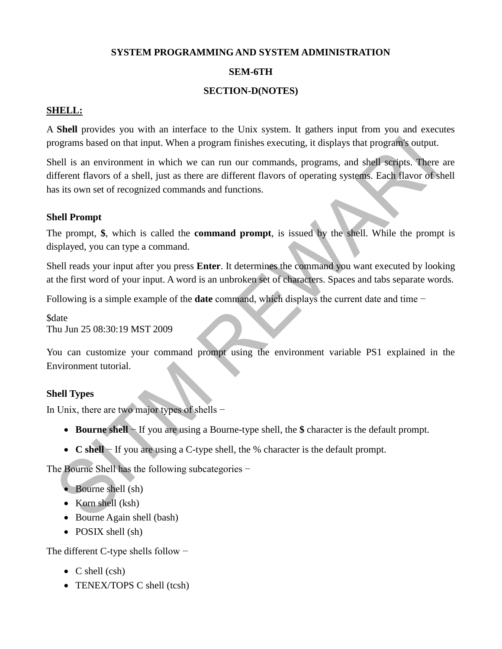### **SYSTEM PROGRAMMING AND SYSTEM ADMINISTRATION**

## **SEM-6TH**

## **SECTION-D(NOTES)**

## **SHELL:**

A **Shell** provides you with an interface to the Unix system. It gathers input from you and executes programs based on that input. When a program finishes executing, it displays that program's output.

Shell is an environment in which we can run our commands, programs, and shell scripts. There are different flavors of a shell, just as there are different flavors of operating systems. Each flavor of shell has its own set of recognized commands and functions.

## **Shell Prompt**

The prompt, **\$**, which is called the **command prompt**, is issued by the shell. While the prompt is displayed, you can type a command.

Shell reads your input after you press **Enter**. It determines the command you want executed by looking at the first word of your input. A word is an unbroken set of characters. Spaces and tabs separate words.

Following is a simple example of the **date** command, which displays the current date and time −

\$date Thu Jun 25 08:30:19 MST 2009

You can customize your command prompt using the environment variable PS1 explained in the Environment tutorial.

## **Shell Types**

In Unix, there are two major types of shells −

- **Bourne shell** − If you are using a Bourne-type shell, the **\$** character is the default prompt.
- **C shell** − If you are using a C-type shell, the % character is the default prompt.

The Bourne Shell has the following subcategories −

- Bourne shell (sh)
- Korn shell (ksh)
- Bourne Again shell (bash)
- POSIX shell (sh)

The different C-type shells follow −

- $\bullet$  C shell (csh)
- TENEX/TOPS C shell (tcsh)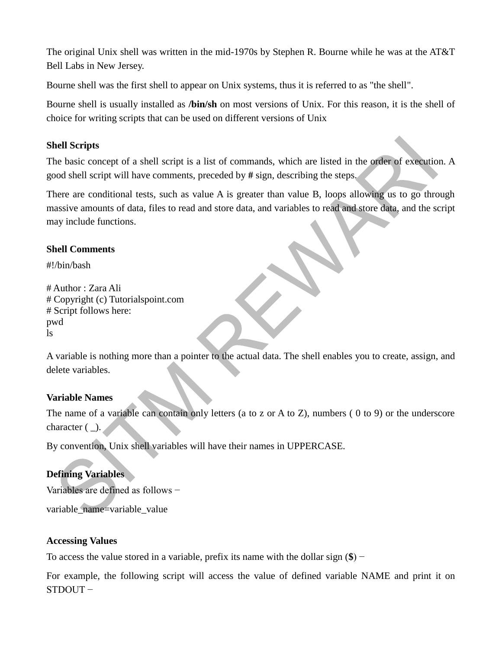The original Unix shell was written in the mid-1970s by Stephen R. Bourne while he was at the AT&T Bell Labs in New Jersey.

Bourne shell was the first shell to appear on Unix systems, thus it is referred to as "the shell".

Bourne shell is usually installed as **/bin/sh** on most versions of Unix. For this reason, it is the shell of choice for writing scripts that can be used on different versions of Unix

## **Shell Scripts**

The basic concept of a shell script is a list of commands, which are listed in the order of execution. A good shell script will have comments, preceded by **#** sign, describing the steps.

There are conditional tests, such as value A is greater than value B, loops allowing us to go through massive amounts of data, files to read and store data, and variables to read and store data, and the script may include functions.

## **Shell Comments**

#!/bin/bash

# Author : Zara Ali # Copyright (c) Tutorialspoint.com # Script follows here: pwd ls

A variable is nothing more than a pointer to the actual data. The shell enables you to create, assign, and delete variables.

## **Variable Names**

The name of a variable can contain only letters (a to z or A to Z), numbers ( 0 to 9) or the underscore character  $(\_)$ .

By convention, Unix shell variables will have their names in UPPERCASE.

## **Defining Variables**

Variables are defined as follows −

variable\_name=variable\_value

## **Accessing Values**

To access the value stored in a variable, prefix its name with the dollar sign (**\$**) −

For example, the following script will access the value of defined variable NAME and print it on STDOUT −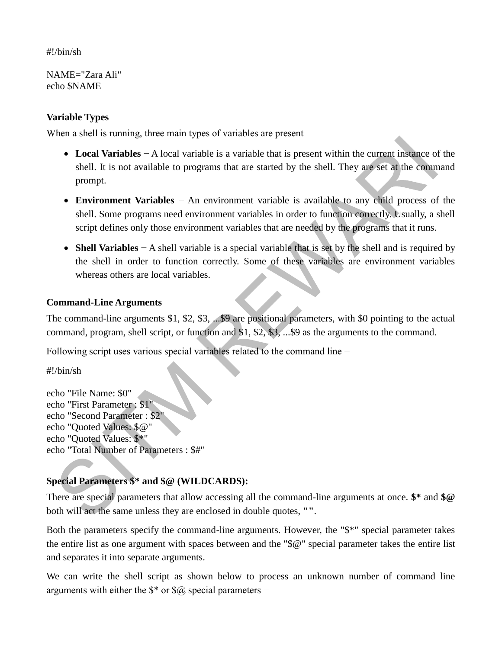## #!/bin/sh

NAME="Zara Ali" echo \$NAME

## **Variable Types**

When a shell is running, three main types of variables are present –

- **Local Variables** − A local variable is a variable that is present within the current instance of the shell. It is not available to programs that are started by the shell. They are set at the command prompt.
- **Environment Variables** − An environment variable is available to any child process of the shell. Some programs need environment variables in order to function correctly. Usually, a shell script defines only those environment variables that are needed by the programs that it runs.
- **Shell Variables** − A shell variable is a special variable that is set by the shell and is required by the shell in order to function correctly. Some of these variables are environment variables whereas others are local variables.

#### **Command-Line Arguments**

The command-line arguments \$1, \$2, \$3, ...\$9 are positional parameters, with \$0 pointing to the actual command, program, shell script, or function and \$1, \$2, \$3, ...\$9 as the arguments to the command.

Following script uses various special variables related to the command line −

#!/bin/sh

echo "File Name: \$0" echo "First Parameter : \$1" echo "Second Parameter : \$2" echo "Quoted Values: \$@" echo "Quoted Values: \$\*" echo "Total Number of Parameters : \$#"

## **Special Parameters \$\* and \$@ (WILDCARDS):**

There are special parameters that allow accessing all the command-line arguments at once. **\$\*** and **\$@** both will act the same unless they are enclosed in double quotes, **""**.

Both the parameters specify the command-line arguments. However, the "\$\*" special parameter takes the entire list as one argument with spaces between and the "\$@" special parameter takes the entire list and separates it into separate arguments.

We can write the shell script as shown below to process an unknown number of command line arguments with either the \$\* or \$@ special parameters −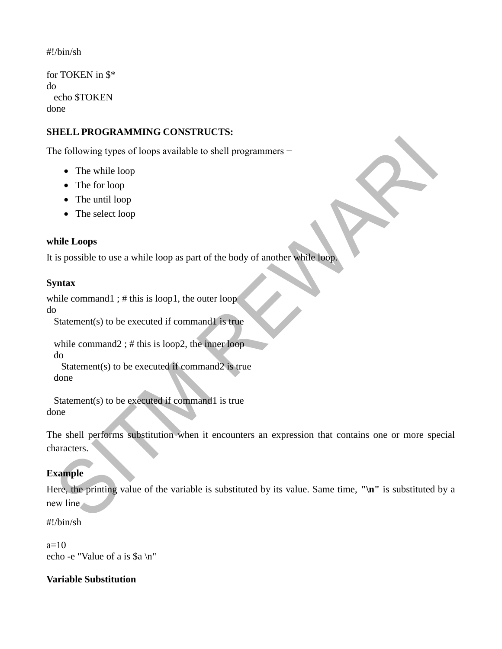## #!/bin/sh

for TOKEN in \$\* do echo \$TOKEN done

## **SHELL PROGRAMMING CONSTRUCTS:**

The following types of loops available to shell programmers –

- The while loop
- The for loop
- The until loop
- The select loop

## **while Loops**

It is possible to use a while loop as part of the body of another while loop.

## **Syntax**

while command1; # this is loop1, the outer loop

do

Statement(s) to be executed if command1 is true

while command2 ; # this is loop2, the inner loop do

 Statement(s) to be executed if command2 is true done

 Statement(s) to be executed if command1 is true done

The shell performs substitution when it encounters an expression that contains one or more special characters.

## **Example**

Here, the printing value of the variable is substituted by its value. Same time, **"\n"** is substituted by a new line −

#!/bin/sh

 $a=10$ echo -e "Value of a is \$a \n"

## **Variable Substitution**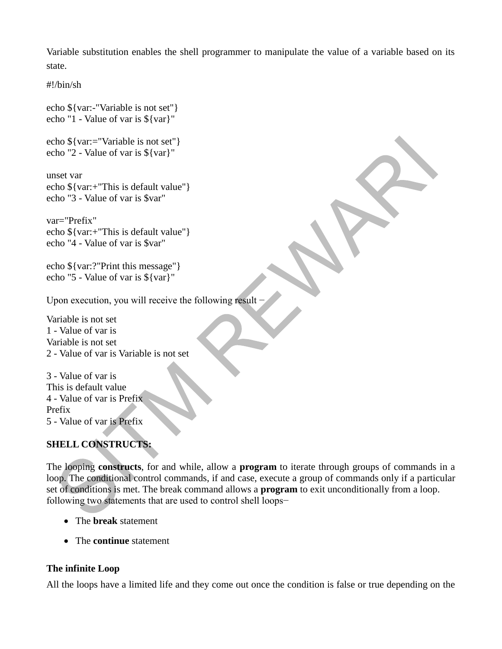Variable substitution enables the shell programmer to manipulate the value of a variable based on its state.

#!/bin/sh

echo \${var:-"Variable is not set"} echo "1 - Value of var is \${var}"

echo \${var:="Variable is not set"} echo "2 - Value of var is \${var}"

unset var echo \${var:+"This is default value"} echo "3 - Value of var is \$var"

var="Prefix" echo \${var:+"This is default value"} echo "4 - Value of var is \$var"

echo \${var:?"Print this message"} echo "5 - Value of var is \${var}"

Upon execution, you will receive the following result −

Variable is not set 1 - Value of var is Variable is not set 2 - Value of var is Variable is not set

3 - Value of var is This is default value 4 - Value of var is Prefix Prefix 5 - Value of var is Prefix

## **SHELL CONSTRUCTS:**

The looping **constructs**, for and while, allow a **program** to iterate through groups of commands in a loop. The conditional control commands, if and case, execute a group of commands only if a particular set of conditions is met. The break command allows a **program** to exit unconditionally from a loop. following two statements that are used to control shell loops−

- The **break** statement
- The **continue** statement

## **The infinite Loop**

All the loops have a limited life and they come out once the condition is false or true depending on the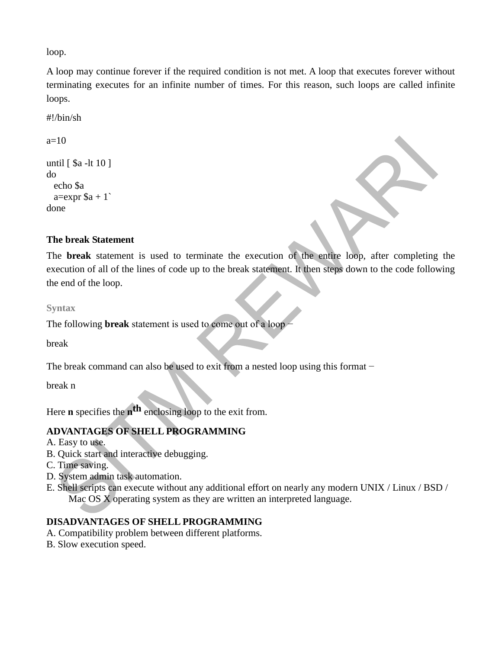loop.

A loop may continue forever if the required condition is not met. A loop that executes forever without terminating executes for an infinite number of times. For this reason, such loops are called infinite loops.

#!/bin/sh

 $a=10$ 

```
until [ $a -lt 10 ]
do
  echo $a
 a=expr a + 1done
```
## **The break Statement**

The **break** statement is used to terminate the execution of the entire loop, after completing the execution of all of the lines of code up to the break statement. It then steps down to the code following the end of the loop.

#### **Syntax**

The following **break** statement is used to come out of a loop −

break

The break command can also be used to exit from a nested loop using this format –

break n

Here **n** specifies the **n th** enclosing loop to the exit from.

## **ADVANTAGES OF SHELL PROGRAMMING**

A. Easy to use.

- B. Quick start and interactive debugging.
- C. Time saving.
- D. System admin task automation.
- E. Shell scripts can execute without any additional effort on nearly any modern UNIX / Linux / BSD / Mac OS X operating system as they are written an interpreted language.

## **DISADVANTAGES OF SHELL PROGRAMMING**

- A. Compatibility problem between different platforms.
- B. Slow execution speed.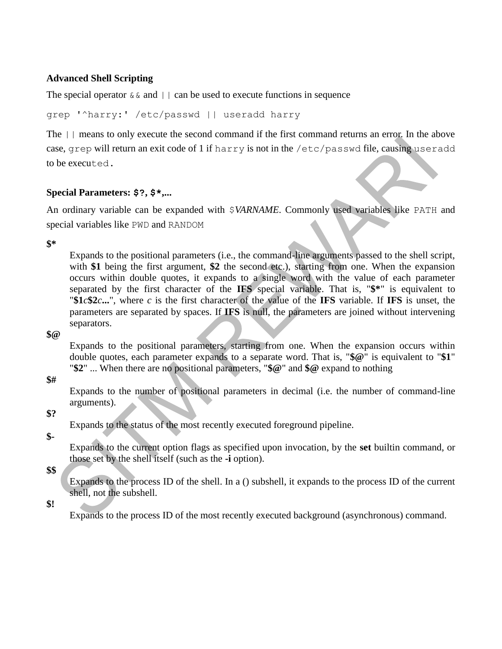### **Advanced Shell Scripting**

The special operator  $\&\&$  and  $||\cdot||$  can be used to execute functions in sequence

grep '^harry:' /etc/passwd || useradd harry

The || means to only execute the second command if the first command returns an error. In the above case, grep will return an exit code of 1 if harry is not in the /etc/passwd file, causing useradd to be executed.

#### **Special Parameters: \$?, \$\*,...**

An ordinary variable can be expanded with \$*VARNAME*. Commonly used variables like PATH and special variables like PWD and RANDOM

**\$\***

Expands to the positional parameters (i.e., the command-line arguments passed to the shell script, with \$1 being the first argument, \$2 the second etc.), starting from one. When the expansion occurs within double quotes, it expands to a single word with the value of each parameter separated by the first character of the **IFS** special variable. That is, "**\$\***" is equivalent to "**\$1***c***\$2***c***...**", where *c* is the first character of the value of the **IFS** variable. If **IFS** is unset, the parameters are separated by spaces. If **IFS** is null, the parameters are joined without intervening separators.

**\$@**

Expands to the positional parameters, starting from one. When the expansion occurs within double quotes, each parameter expands to a separate word. That is, "**\$@**" is equivalent to "**\$1**" "**\$2**" ... When there are no positional parameters, "**\$@**" and **\$@** expand to nothing

#### **\$#**

Expands to the number of positional parameters in decimal (i.e. the number of command-line arguments).

## **\$?**

Expands to the status of the most recently executed foreground pipeline.

#### **\$-**

Expands to the current option flags as specified upon invocation, by the **set** builtin command, or those set by the shell itself (such as the **-i** option).

## **\$\$**

Expands to the process ID of the shell. In a () subshell, it expands to the process ID of the current shell, not the subshell.

#### **\$!**

Expands to the process ID of the most recently executed background (asynchronous) command.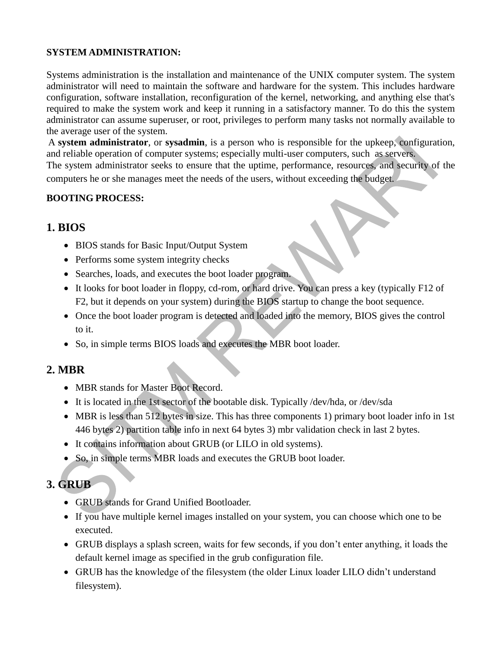## **SYSTEM ADMINISTRATION:**

Systems administration is the installation and maintenance of the UNIX computer system. The system administrator will need to maintain the software and hardware for the system. This includes hardware configuration, software installation, reconfiguration of the kernel, networking, and anything else that's required to make the system work and keep it running in a satisfactory manner. To do this the system administrator can assume superuser, or root, privileges to perform many tasks not normally available to the average user of the system.

A **system administrator**, or **sysadmin**, is a person who is responsible for the upkeep, configuration, and reliable operation of computer systems; especially multi-user computers, such as servers. The system administrator seeks to ensure that the uptime, performance, resources, and security of the computers he or she manages meet the needs of the users, without exceeding the budget.

## **BOOTING PROCESS:**

## **1. BIOS**

- BIOS stands for Basic Input/Output System
- Performs some system integrity checks
- Searches, loads, and executes the boot loader program.
- It looks for boot loader in floppy, cd-rom, or hard drive. You can press a key (typically F12 of F2, but it depends on your system) during the BIOS startup to change the boot sequence.
- Once the boot loader program is detected and loaded into the memory, BIOS gives the control to it.
- So, in simple terms BIOS loads and executes the MBR boot loader.

## **2. MBR**

- MBR stands for Master Boot Record.
- It is located in the 1st sector of the bootable disk. Typically /dev/hda, or /dev/sda
- MBR is less than 512 bytes in size. This has three components 1) primary boot loader info in 1st 446 bytes 2) partition table info in next 64 bytes 3) mbr validation check in last 2 bytes.
- It contains information about GRUB (or LILO in old systems).
- So, in simple terms MBR loads and executes the GRUB boot loader.

## **3. GRUB**

- GRUB stands for Grand Unified Bootloader.
- If you have multiple kernel images installed on your system, you can choose which one to be executed.
- GRUB displays a splash screen, waits for few seconds, if you don't enter anything, it loads the default kernel image as specified in the grub configuration file.
- GRUB has the knowledge of the filesystem (the older Linux loader LILO didn't understand filesystem).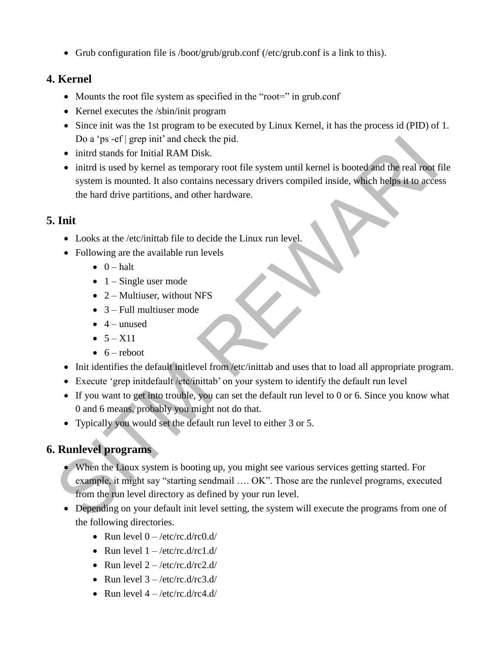Grub configuration file is /boot/grub/grub.conf (/etc/grub.conf is a link to this).

## **4. Kernel**

- Mounts the root file system as specified in the "root=" in grub.conf
- Kernel executes the /sbin/init program
- Since init was the 1st program to be executed by Linux Kernel, it has the process id (PID) of 1. Do a 'ps -ef | grep init' and check the pid.
- initrd stands for Initial RAM Disk.
- initrd is used by kernel as temporary root file system until kernel is booted and the real root file system is mounted. It also contains necessary drivers compiled inside, which helps it to access the hard drive partitions, and other hardware.

## **5. Init**

- Looks at the /etc/inittab file to decide the Linux run level.
- Following are the available run levels
	- $\bullet$  0 halt
	- $\bullet$  1 Single user mode
	- $\bullet$  2 Multiuser, without NFS
	- $\bullet$  3 Full multiuser mode
	- $\bullet$  4 unused
	- $-5 X11$
	- $\bullet$  6 reboot
- Init identifies the default initlevel from /etc/inittab and uses that to load all appropriate program.
- Execute 'grep initdefault /etc/inittab' on your system to identify the default run level
- If you want to get into trouble, you can set the default run level to 0 or 6. Since you know what 0 and 6 means, probably you might not do that.
- Typically you would set the default run level to either 3 or 5.

## **6. Runlevel programs**

- When the Linux system is booting up, you might see various services getting started. For example, it might say "starting sendmail …. OK". Those are the runlevel programs, executed from the run level directory as defined by your run level.
- Depending on your default init level setting, the system will execute the programs from one of the following directories.
	- Run level  $0 \frac{\text{etc}}{\text{rc}}$ .d/rc0.d/
	- Run level  $1 \frac{\text{etc}}{\text{rc}}$ .d/rc1.d/
	- Run level  $2 \frac{\text{etc}}{\text{rc}}$ .d/rc2.d/
	- Run level  $3 \frac{\text{etc}}{\text{rc}}$ .d/rc3.d/
	- Run level  $4 \frac{\text{etc}}{\text{c.d}}$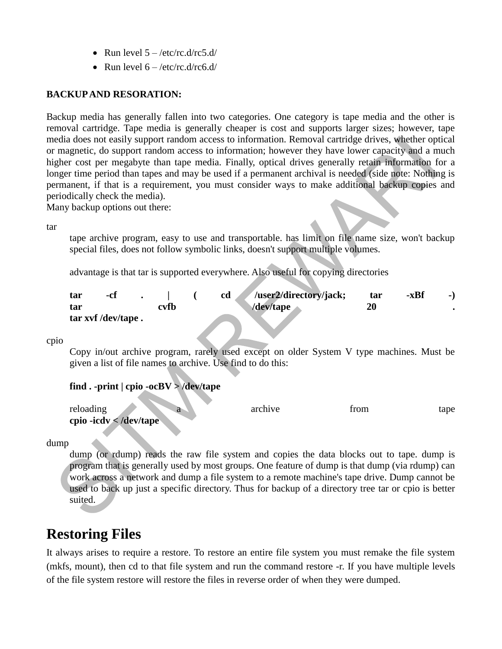- Run level  $5 \frac{\text{etc}}{\text{c.d}}$
- Run level  $6 \frac{\text{etc}}{\text{etc.}} \frac{d}{\text{rc6.}} \frac{d}{ }$

## **BACKUP AND RESORATION:**

Backup media has generally fallen into two categories. One category is tape media and the other is removal cartridge. Tape media is generally cheaper is cost and supports larger sizes; however, tape media does not easily support random access to information. Removal cartridge drives, whether optical or magnetic, do support random access to information; however they have lower capacity and a much higher cost per megabyte than tape media. Finally, optical drives generally retain information for a longer time period than tapes and may be used if a permanent archival is needed (side note: Nothing is permanent, if that is a requirement, you must consider ways to make additional backup copies and periodically check the media).

Many backup options out there:

tar

tape archive program, easy to use and transportable. has limit on file name size, won't backup special files, does not follow symbolic links, doesn't support multiple volumes.

advantage is that tar is supported everywhere. Also useful for copying directories

| tar | -cf                |      | /user2/directory/jack;<br>cd | tar | -xBf | - 1 |
|-----|--------------------|------|------------------------------|-----|------|-----|
| tar |                    | cvfb | $\sqrt{\frac{dev}{t}}$ ape   | 20  |      |     |
|     | tar xvf /dev/tape. |      |                              |     |      |     |

cpio

Copy in/out archive program, rarely used except on older System V type machines. Must be given a list of file names to archive. Use find to do this:

| find . -print $ $ cpio -ocBV > /dev/tape |  |
|------------------------------------------|--|
|                                          |  |

| reloading              | archive | trom | tape |
|------------------------|---------|------|------|
| cpio -icdv < /dev/tape |         |      |      |

dump

dump (or rdump) reads the raw file system and copies the data blocks out to tape. dump is program that is generally used by most groups. One feature of dump is that dump (via rdump) can work across a network and dump a file system to a remote machine's tape drive. Dump cannot be used to back up just a specific directory. Thus for backup of a directory tree tar or cpio is better suited.

# **Restoring Files**

It always arises to require a restore. To restore an entire file system you must remake the file system (mkfs, mount), then cd to that file system and run the command restore -r. If you have multiple levels of the file system restore will restore the files in reverse order of when they were dumped.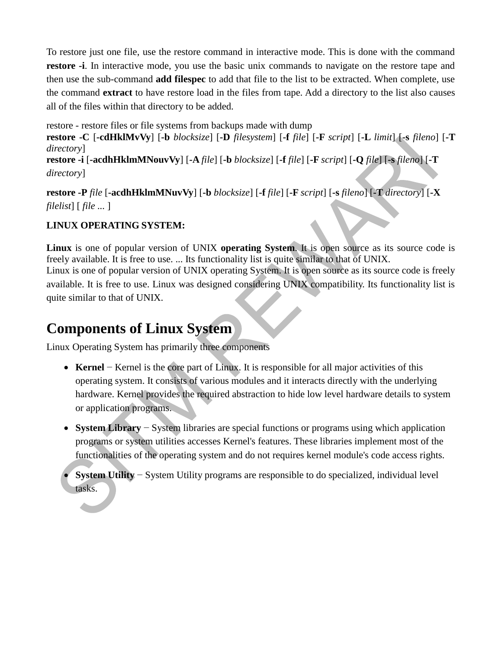To restore just one file, use the restore command in interactive mode. This is done with the command **restore -i**. In interactive mode, you use the basic unix commands to navigate on the restore tape and then use the sub-command **add filespec** to add that file to the list to be extracted. When complete, use the command **extract** to have restore load in the files from tape. Add a directory to the list also causes all of the files within that directory to be added.

restore - restore files or file systems from backups made with dump

**restore -C** [**-cdHklMvVy**] [**-b** *blocksize*] [**-D** *filesystem*] [**-f** *file*] [**-F** *script*] [**-L** *limit*] [**-s** *fileno*] [**-T**  *directory*]

**restore -i** [**-acdhHklmMNouvVy**] [**-A** *file*] [**-b** *blocksize*] [**-f** *file*] [**-F** *script*] [**-Q** *file*] [**-s** *fileno*] [**-T**  *directory*]

**restore -P** *file* [**-acdhHklmMNuvVy**] [**-b** *blocksize*] [**-f** *file*] [**-F** *script*] [**-s** *fileno*] [**-T** *directory*] [**-X**  *filelist*] [ *file ...* ]

## **LINUX OPERATING SYSTEM:**

**Linux** is one of popular version of UNIX **operating System**. It is open source as its source code is freely available. It is free to use. ... Its functionality list is quite similar to that of UNIX. Linux is one of popular version of UNIX operating System. It is open source as its source code is freely available. It is free to use. Linux was designed considering UNIX compatibility. Its functionality list is quite similar to that of UNIX.

# **Components of Linux System**

Linux Operating System has primarily three components

- **Kernel** − Kernel is the core part of Linux. It is responsible for all major activities of this operating system. It consists of various modules and it interacts directly with the underlying hardware. Kernel provides the required abstraction to hide low level hardware details to system or application programs.
- **System Library** − System libraries are special functions or programs using which application programs or system utilities accesses Kernel's features. These libraries implement most of the functionalities of the operating system and do not requires kernel module's code access rights.
- **System Utility** − System Utility programs are responsible to do specialized, individual level tasks.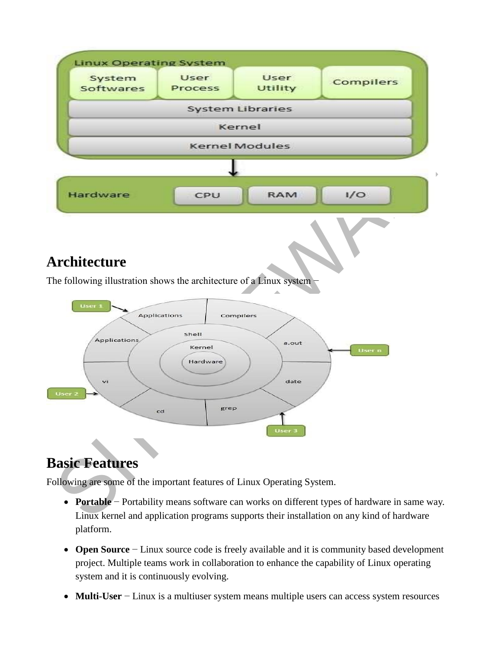

# **Basic Features**

Following are some of the important features of Linux Operating System.

- **Portable** − Portability means software can works on different types of hardware in same way. Linux kernel and application programs supports their installation on any kind of hardware platform.
- **Open Source** − Linux source code is freely available and it is community based development project. Multiple teams work in collaboration to enhance the capability of Linux operating system and it is continuously evolving.
- **Multi-User** − Linux is a multiuser system means multiple users can access system resources